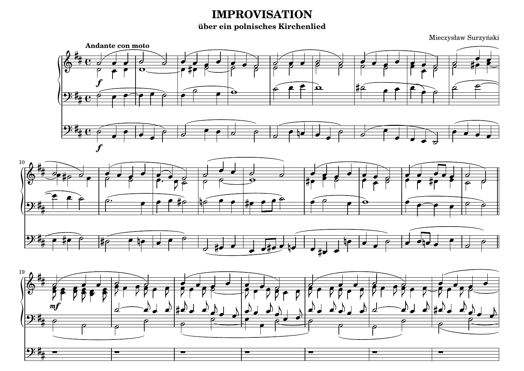## **IMPROVISATION** über ein polnisches Kirchenlied

Mieczysław Surzyński





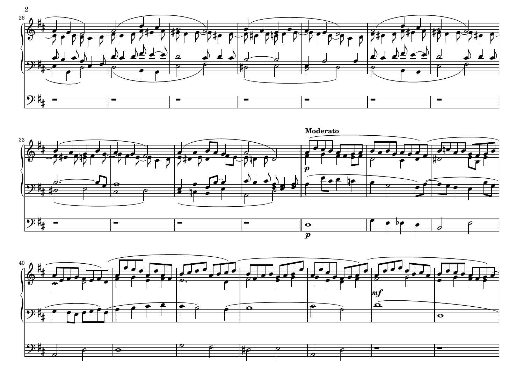



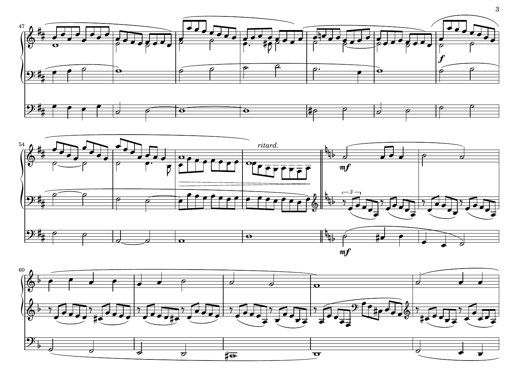



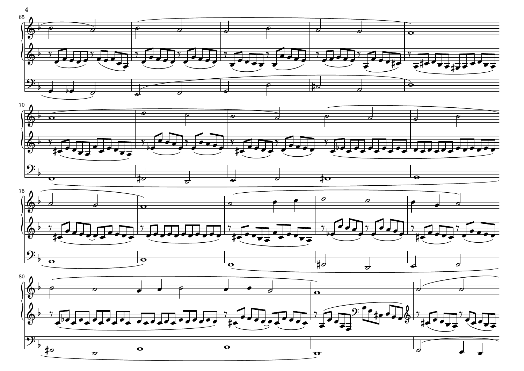







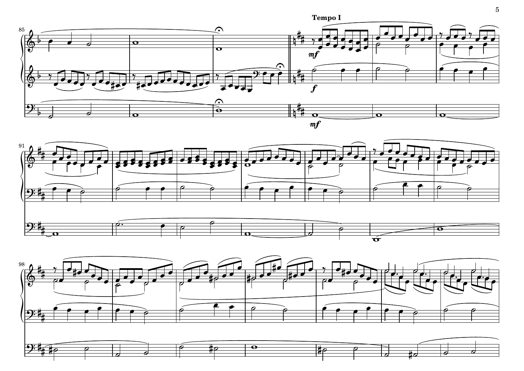



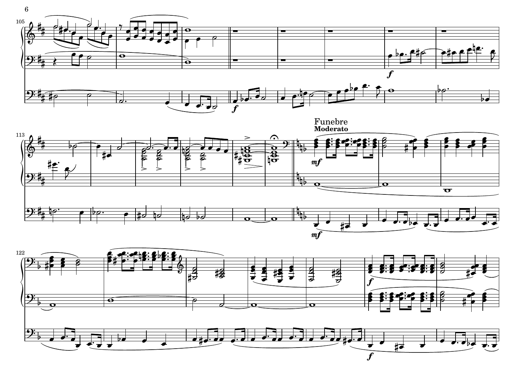



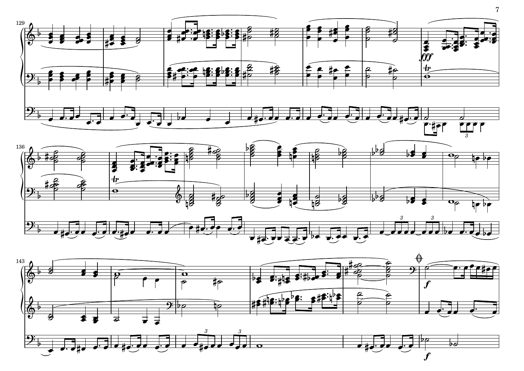

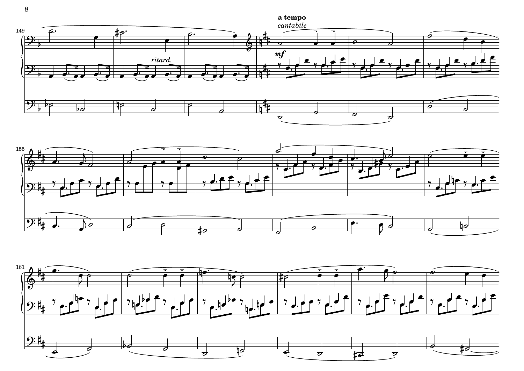